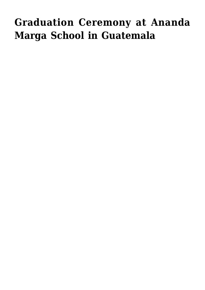## **[Graduation Ceremony at Ananda](https://crimsondawn.net/portfolio/graduation-ceremony-at-ananda-marga-school-in-guatemala/) [Marga School in Guatemala](https://crimsondawn.net/portfolio/graduation-ceremony-at-ananda-marga-school-in-guatemala/)**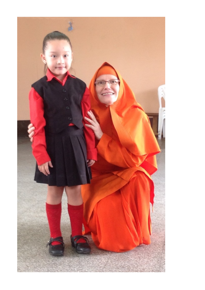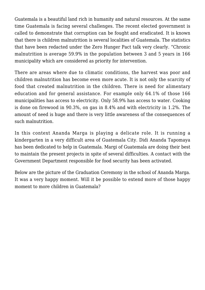Guatemala is a beautiful land rich in humanity and natural resources. At the same time Guatemala is facing several challenges. The recent elected government is called to demonstrate that corruption can be fought and eradicated. It is known that there is children malnutrition is several localities of Guatemala. The statistics that have been redacted under the Zero Hunger Pact talk very clearly. "Chronic malnutrition is average 59.9% in the population between 3 and 5 years in 166 municipality which are considered as priority for intervention.

There are areas where due to climatic conditions, the harvest was poor and children malnutrition has become even more acute. It is not only the scarcity of food that created malnutrition in the children. There is need for alimentary education and for general assistance. For example only 64.1% of those 166 municipalities has access to electricity. Only 58.9% has access to water. Cooking is done on firewood in 90.3%, on gas in 8.4% and with electricity in 1.2%. The amount of need is huge and there is very little awareness of the consequences of such malnutrition.

In this context Ananda Marga is playing a delicate role. It is running a kindergarten in a very difficult area of Guatemala City. Didi Ananda Tapomaya has been dedicated to help in Guatemala. Margi of Guatemala are doing their best to maintain the present projects in spite of several difficulties. A contact with the Government Department responsible for food security has been activated.

Below are the picture of the Graduation Ceremony in the school of Ananda Marga. It was a very happy moment. Will it be possible to extend more of those happy moment to more children in Guatemala?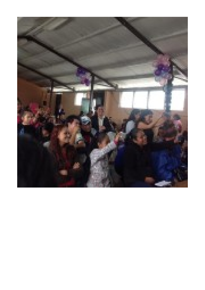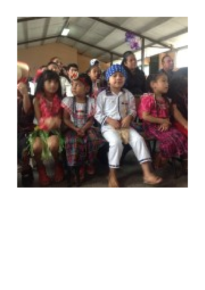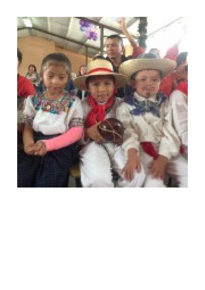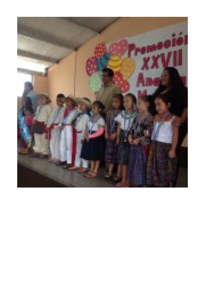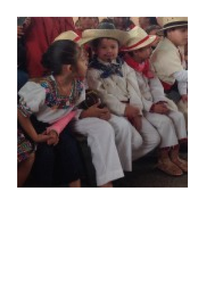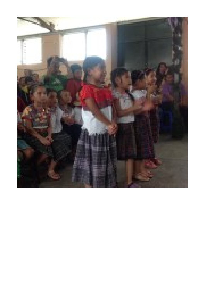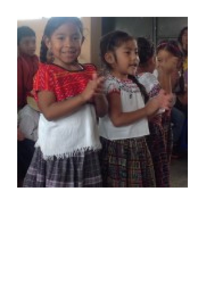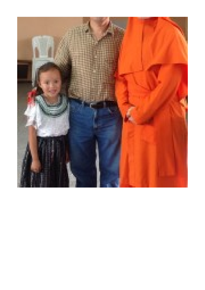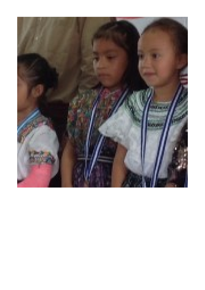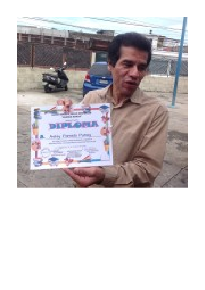